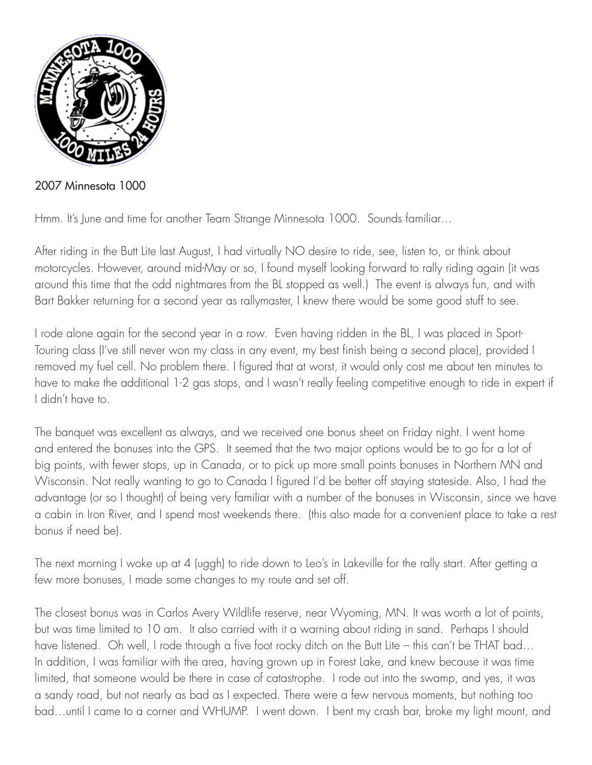

2007 Minnesota 1000

Hmm. It's June and time for another Team Strange Minnesota 1000. Sounds familiar…

After riding in the Butt Lite last August, I had virtually NO desire to ride, see, listen to, or think about motorcycles. However, around mid-May or so, I found myself looking forward to rally riding again (it was around this time that the odd nightmares from the BL stopped as well.) The event is always fun, and with Bart Bakker returning for a second year as rallymaster, I knew there would be some good stuff to see.

I rode alone again for the second year in a row. Even having ridden in the BL, I was placed in Sport-Touring class (I've still never won my class in any event, my best finish being a second place), provided I removed my fuel cell. No problem there. I figured that at worst, it would only cost me about ten minutes to have to make the additional 1-2 gas stops, and I wasn't really feeling competitive enough to ride in expert if I didn't have to.

The banquet was excellent as always, and we received one bonus sheet on Friday night. I went home and entered the bonuses into the GPS. It seemed that the two major options would be to go for a lot of big points, with fewer stops, up in Canada, or to pick up more small points bonuses in Northern MN and Wisconsin. Not really wanting to go to Canada I figured I'd be better off staying stateside. Also, I had the advantage (or so I thought) of being very familiar with a number of the bonuses in Wisconsin, since we have a cabin in Iron River, and I spend most weekends there. (this also made for a convenient place to take a rest bonus if need be).

The next morning I woke up at 4 (uggh) to ride down to Leo's in Lakeville for the rally start. After getting a few more bonuses, I made some changes to my route and set off.

The closest bonus was in Carlos Avery Wildlife reserve, near Wyoming, MN. It was worth a lot of points, but was time limited to 10 am. It also carried with it a warning about riding in sand. Perhaps I should have listened. Oh well, I rode through a five foot rocky ditch on the Butt Lite – this can't be THAT bad... In addition, I was familiar with the area, having grown up in Forest Lake, and knew because it was time limited, that someone would be there in case of catastrophe. I rode out into the swamp, and yes, it was a sandy road, but not nearly as bad as I expected. There were a few nervous moments, but nothing too bad…until I came to a corner and WHUMP. I went down. I bent my crash bar, broke my light mount, and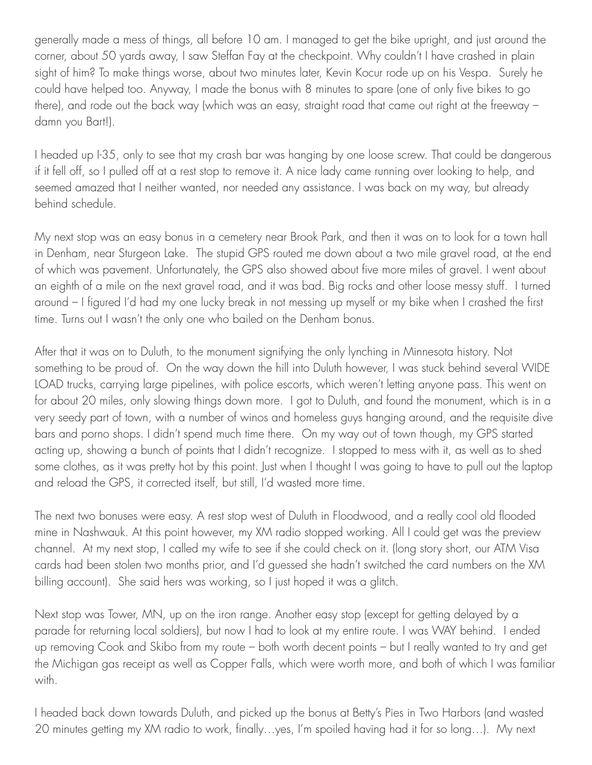generally made a mess of things, all before 10 am. I managed to get the bike upright, and just around the corner, about 50 yards away, I saw Steffan Fay at the checkpoint. Why couldn't I have crashed in plain sight of him? To make things worse, about two minutes later, Kevin Kocur rode up on his Vespa. Surely he could have helped too. Anyway, I made the bonus with 8 minutes to spare (one of only five bikes to go there), and rode out the back way (which was an easy, straight road that came out right at the freeway – damn you Bart!).

I headed up I-35, only to see that my crash bar was hanging by one loose screw. That could be dangerous if it fell off, so I pulled off at a rest stop to remove it. A nice lady came running over looking to help, and seemed amazed that I neither wanted, nor needed any assistance. I was back on my way, but already behind schedule.

My next stop was an easy bonus in a cemetery near Brook Park, and then it was on to look for a town hall in Denham, near Sturgeon Lake. The stupid GPS routed me down about a two mile gravel road, at the end of which was pavement. Unfortunately, the GPS also showed about five more miles of gravel. I went about an eighth of a mile on the next gravel road, and it was bad. Big rocks and other loose messy stuff. I turned around – I figured I'd had my one lucky break in not messing up myself or my bike when I crashed the first time. Turns out I wasn't the only one who bailed on the Denham bonus.

After that it was on to Duluth, to the monument signifying the only lynching in Minnesota history. Not something to be proud of. On the way down the hill into Duluth however, I was stuck behind several WIDE LOAD trucks, carrying large pipelines, with police escorts, which weren't letting anyone pass. This went on for about 20 miles, only slowing things down more. I got to Duluth, and found the monument, which is in a very seedy part of town, with a number of winos and homeless guys hanging around, and the requisite dive bars and porno shops. I didn't spend much time there. On my way out of town though, my GPS started acting up, showing a bunch of points that I didn't recognize. I stopped to mess with it, as well as to shed some clothes, as it was pretty hot by this point. Just when I thought I was going to have to pull out the laptop and reload the GPS, it corrected itself, but still, I'd wasted more time.

The next two bonuses were easy. A rest stop west of Duluth in Floodwood, and a really cool old flooded mine in Nashwauk. At this point however, my XM radio stopped working. All I could get was the preview channel. At my next stop, I called my wife to see if she could check on it. (long story short, our ATM Visa cards had been stolen two months prior, and I'd guessed she hadn't switched the card numbers on the XM billing account). She said hers was working, so I just hoped it was a glitch.

Next stop was Tower, MN, up on the iron range. Another easy stop (except for getting delayed by a parade for returning local soldiers), but now I had to look at my entire route. I was WAY behind. I ended up removing Cook and Skibo from my route – both worth decent points – but I really wanted to try and get the Michigan gas receipt as well as Copper Falls, which were worth more, and both of which I was familiar with.

I headed back down towards Duluth, and picked up the bonus at Betty's Pies in Two Harbors (and wasted 20 minutes getting my XM radio to work, finally…yes, I'm spoiled having had it for so long…). My next